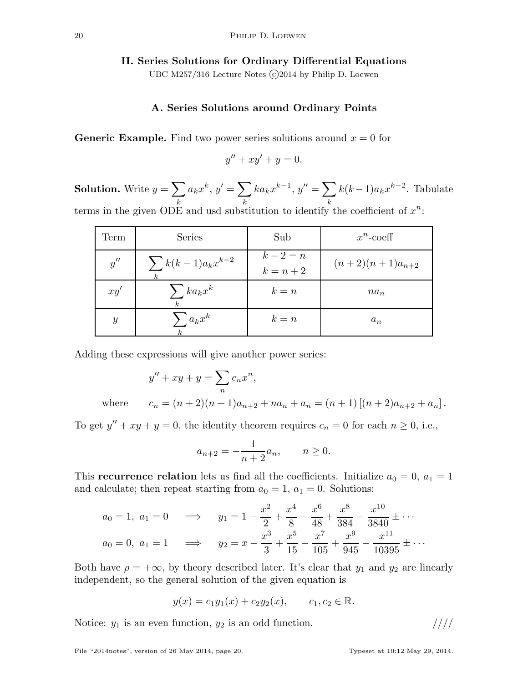## II. Series Solutions for Ordinary Differential Equations

UBC M257/316 Lecture Notes (c) 2014 by Philip D. Loewen

# A. Series Solutions around Ordinary Points

**Generic Example.** Find two power series solutions around  $x = 0$  for

$$
y'' + xy' + y = 0.
$$

**Solution.** Write  $y = \sum$ k  $a_k x^k, y' = \sum$ k  $ka_kx^{k-1}, y'' = \sum$ k  $k(k-1)a_kx^{k-2}$ . Tabulate terms in the given ODE and usd substitution to identify the coefficient of  $x^n$ :

| Term             | <b>Series</b>                             | Sub                    | $x^n$ -coeff        |
|------------------|-------------------------------------------|------------------------|---------------------|
| y''              | $\sum k(k-1)a_kx^{k-2}$<br>k <sub>i</sub> | $k-2=n$<br>$k = n + 2$ | $(n+2)(n+1)a_{n+2}$ |
| xy'              | $\sum ka_kx^k$<br>$\mathbf{k}$            | $k = n$                | $na_n$              |
| $\boldsymbol{y}$ | $\sum a_k x^k$                            | $k = n$                | $a_n$               |

Adding these expressions will give another power series:

$$
y'' + xy + y = \sum_{n} c_n x^n,
$$

where 
$$
c_n = (n+2)(n+1)a_{n+2} + na_n + a_n = (n+1) [(n+2)a_{n+2} + a_n].
$$

To get  $y'' + xy + y = 0$ , the identity theorem requires  $c_n = 0$  for each  $n \ge 0$ , i.e.,

$$
a_{n+2} = -\frac{1}{n+2}a_n, \qquad n \ge 0.
$$

This **recurrence relation** lets us find all the coefficients. Initialize  $a_0 = 0$ ,  $a_1 = 1$ and calculate; then repeat starting from  $a_0 = 1$ ,  $a_1 = 0$ . Solutions:

$$
a_0 = 1, \ a_1 = 0 \implies y_1 = 1 - \frac{x^2}{2} + \frac{x^4}{8} - \frac{x^6}{48} + \frac{x^8}{384} - \frac{x^{10}}{3840} \pm \cdots
$$
  

$$
a_0 = 0, \ a_1 = 1 \implies y_2 = x - \frac{x^3}{3} + \frac{x^5}{15} - \frac{x^7}{105} + \frac{x^9}{945} - \frac{x^{11}}{10395} \pm \cdots
$$

Both have  $\rho = +\infty$ , by theory described later. It's clear that  $y_1$  and  $y_2$  are linearly independent, so the general solution of the given equation is

$$
y(x) = c_1y_1(x) + c_2y_2(x),
$$
  $c_1, c_2 \in \mathbb{R}.$ 

Notice:  $y_1$  is an even function,  $y_2$  is an odd function.  $////$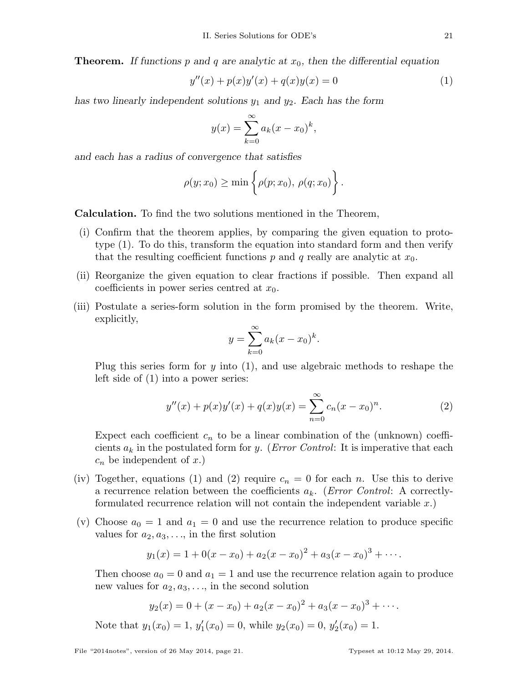**Theorem.** If functions p and q are analytic at  $x_0$ , then the differential equation

$$
y''(x) + p(x)y'(x) + q(x)y(x) = 0
$$
\n(1)

has two linearly independent solutions  $y_1$  and  $y_2$ . Each has the form

$$
y(x) = \sum_{k=0}^{\infty} a_k (x - x_0)^k
$$
,

and each has a radius of convergence that satisfies

$$
\rho(y; x_0) \geq \min \left\{ \rho(p; x_0), \, \rho(q; x_0) \right\}.
$$

Calculation. To find the two solutions mentioned in the Theorem,

- (i) Confirm that the theorem applies, by comparing the given equation to prototype (1). To do this, transform the equation into standard form and then verify that the resulting coefficient functions p and q really are analytic at  $x_0$ .
- (ii) Reorganize the given equation to clear fractions if possible. Then expand all coefficients in power series centred at  $x_0$ .
- (iii) Postulate a series-form solution in the form promised by the theorem. Write, explicitly,

$$
y = \sum_{k=0}^{\infty} a_k (x - x_0)^k.
$$

Plug this series form for y into (1), and use algebraic methods to reshape the left side of (1) into a power series:

$$
y''(x) + p(x)y'(x) + q(x)y(x) = \sum_{n=0}^{\infty} c_n(x - x_0)^n.
$$
 (2)

Expect each coefficient  $c_n$  to be a linear combination of the (unknown) coefficients  $a_k$  in the postulated form for y. (*Error Control*: It is imperative that each  $c_n$  be independent of x.)

- (iv) Together, equations (1) and (2) require  $c_n = 0$  for each n. Use this to derive a recurrence relation between the coefficients  $a_k$ . (*Error Control*: A correctlyformulated recurrence relation will not contain the independent variable  $x$ .
- (v) Choose  $a_0 = 1$  and  $a_1 = 0$  and use the recurrence relation to produce specific values for  $a_2, a_3, \ldots$ , in the first solution

$$
y_1(x) = 1 + 0(x - x_0) + a_2(x - x_0)^2 + a_3(x - x_0)^3 + \cdots
$$

Then choose  $a_0 = 0$  and  $a_1 = 1$  and use the recurrence relation again to produce new values for  $a_2, a_3, \ldots$ , in the second solution

$$
y_2(x) = 0 + (x - x_0) + a_2(x - x_0)^2 + a_3(x - x_0)^3 + \cdots
$$

Note that  $y_1(x_0) = 1, y'_1$  $y_1'(x_0) = 0$ , while  $y_2(x_0) = 0$ ,  $y_2'$  $y_2'(x_0)=1.$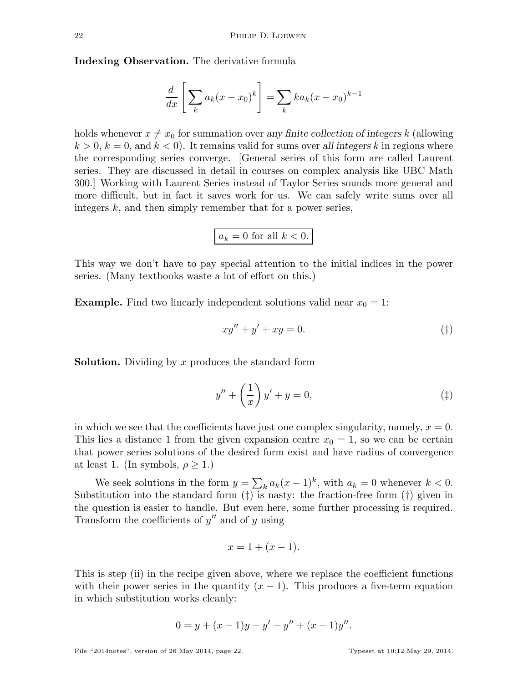Indexing Observation. The derivative formula

$$
\frac{d}{dx}\left[\sum_{k} a_k(x-x_0)^k\right] = \sum_{k} ka_k(x-x_0)^{k-1}
$$

holds whenever  $x \neq x_0$  for summation over any finite collection of integers k (allowing  $k > 0, k = 0$ , and  $k < 0$ . It remains valid for sums over all integers k in regions where the corresponding series converge. [General series of this form are called Laurent series. They are discussed in detail in courses on complex analysis like UBC Math 300.] Working with Laurent Series instead of Taylor Series sounds more general and more difficult, but in fact it saves work for us. We can safely write sums over all integers k, and then simply remember that for a power series,

$$
a_k = 0 \text{ for all } k < 0.
$$

This way we don't have to pay special attention to the initial indices in the power series. (Many textbooks waste a lot of effort on this.)

**Example.** Find two linearly independent solutions valid near  $x_0 = 1$ :

$$
xy'' + y' + xy = 0.
$$
 (†)

**Solution.** Dividing by x produces the standard form

$$
y'' + \left(\frac{1}{x}\right)y' + y = 0,\tag{\ddagger}
$$

in which we see that the coefficients have just one complex singularity, namely,  $x = 0$ . This lies a distance 1 from the given expansion centre  $x_0 = 1$ , so we can be certain that power series solutions of the desired form exist and have radius of convergence at least 1. (In symbols,  $\rho \geq 1$ .)

We seek solutions in the form  $y = \sum_k a_k(x-1)^k$ , with  $a_k = 0$  whenever  $k < 0$ . Substitution into the standard form  $(\ddagger)$  is nasty: the fraction-free form  $(\dagger)$  given in the question is easier to handle. But even here, some further processing is required. Transform the coefficients of  $y''$  and of  $y$  using

$$
x = 1 + (x - 1).
$$

This is step (ii) in the recipe given above, where we replace the coefficient functions with their power series in the quantity  $(x - 1)$ . This produces a five-term equation in which substitution works cleanly:

$$
0 = y + (x - 1)y + y' + y'' + (x - 1)y''.
$$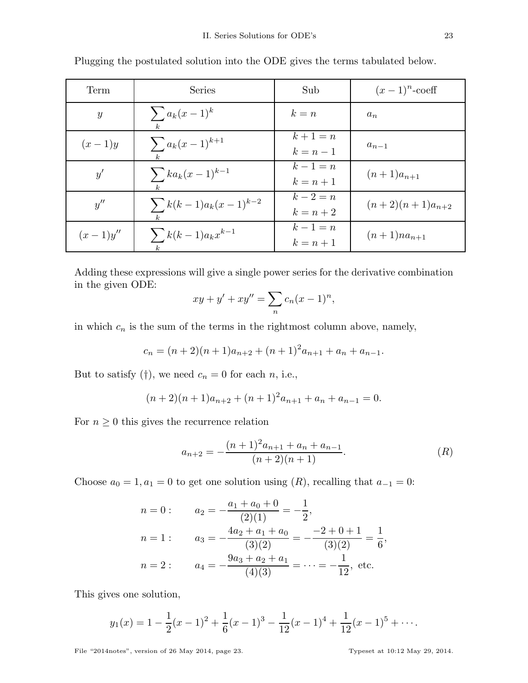| Term          | Series                                       | Sub                | $(x-1)^n$ -coeff    |
|---------------|----------------------------------------------|--------------------|---------------------|
| $\mathcal{Y}$ | $\sum a_k(x-1)^k$<br>$\mathbf{k}$            | $k = n$            | $a_n$               |
| $(x-1)y$      | $\sum a_k(x-1)^{k+1}$                        | $k+1=n$<br>$k=n-1$ | $a_{n-1}$           |
| y'            | $\sum_{k} k a_k (x-1)^{k-1}$<br>$\mathbf{k}$ | $k-1=n$<br>$k=n+1$ | $(n+1)a_{n+1}$      |
| y''           | $\sum k(k-1)a_k(x-1)^{k-2}$                  | $k-2=n$<br>$k=n+2$ | $(n+2)(n+1)a_{n+2}$ |
| $(x-1)y''$    | $\sum k(k-1)a_kx^{k-1}$                      | $k-1=n$<br>$k=n+1$ | $(n+1)na_{n+1}$     |

Plugging the postulated solution into the ODE gives the terms tabulated below.

Adding these expressions will give a single power series for the derivative combination in the given ODE:

$$
xy + y' + xy'' = \sum_{n} c_n (x - 1)^n,
$$

in which  $c_n$  is the sum of the terms in the rightmost column above, namely,

$$
c_n = (n+2)(n+1)a_{n+2} + (n+1)^2 a_{n+1} + a_n + a_{n-1}.
$$

But to satisfy (†), we need  $c_n = 0$  for each n, i.e.,

$$
(n+2)(n+1)a_{n+2} + (n+1)^2 a_{n+1} + a_n + a_{n-1} = 0.
$$

For  $n \geq 0$  this gives the recurrence relation

$$
a_{n+2} = -\frac{(n+1)^2 a_{n+1} + a_n + a_{n-1}}{(n+2)(n+1)}.
$$
 (R)

Choose  $a_0 = 1, a_1 = 0$  to get one solution using  $(R)$ , recalling that  $a_{-1} = 0$ :

$$
n = 0: \t a_2 = -\frac{a_1 + a_0 + 0}{(2)(1)} = -\frac{1}{2},
$$
  
\n
$$
n = 1: \t a_3 = -\frac{4a_2 + a_1 + a_0}{(3)(2)} = -\frac{-2 + 0 + 1}{(3)(2)} = \frac{1}{6},
$$
  
\n
$$
n = 2: \t a_4 = -\frac{9a_3 + a_2 + a_1}{(4)(3)} = \dots = -\frac{1}{12}, \text{ etc.}
$$

This gives one solution,

$$
y_1(x) = 1 - \frac{1}{2}(x-1)^2 + \frac{1}{6}(x-1)^3 - \frac{1}{12}(x-1)^4 + \frac{1}{12}(x-1)^5 + \cdots
$$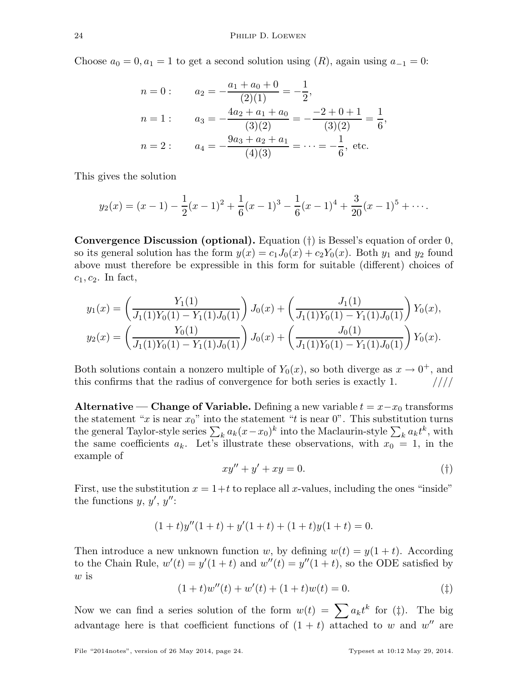Choose  $a_0 = 0, a_1 = 1$  to get a second solution using  $(R)$ , again using  $a_{-1} = 0$ :

$$
n = 0: \t a_2 = -\frac{a_1 + a_0 + 0}{(2)(1)} = -\frac{1}{2},
$$
  
\n
$$
n = 1: \t a_3 = -\frac{4a_2 + a_1 + a_0}{(3)(2)} = -\frac{-2 + 0 + 1}{(3)(2)} = \frac{1}{6},
$$
  
\n
$$
n = 2: \t a_4 = -\frac{9a_3 + a_2 + a_1}{(4)(3)} = \dots = -\frac{1}{6}, \text{ etc.}
$$

This gives the solution

$$
y_2(x) = (x - 1) - \frac{1}{2}(x - 1)^2 + \frac{1}{6}(x - 1)^3 - \frac{1}{6}(x - 1)^4 + \frac{3}{20}(x - 1)^5 + \cdots
$$

**Convergence Discussion (optional).** Equation  $(†)$  is Bessel's equation of order 0, so its general solution has the form  $y(x) = c_1J_0(x) + c_2Y_0(x)$ . Both  $y_1$  and  $y_2$  found above must therefore be expressible in this form for suitable (different) choices of  $c_1, c_2$ . In fact,

$$
y_1(x) = \left(\frac{Y_1(1)}{J_1(1)Y_0(1) - Y_1(1)J_0(1)}\right)J_0(x) + \left(\frac{J_1(1)}{J_1(1)Y_0(1) - Y_1(1)J_0(1)}\right)Y_0(x),
$$
  

$$
y_2(x) = \left(\frac{Y_0(1)}{J_1(1)Y_0(1) - Y_1(1)J_0(1)}\right)J_0(x) + \left(\frac{J_0(1)}{J_1(1)Y_0(1) - Y_1(1)J_0(1)}\right)Y_0(x).
$$

Both solutions contain a nonzero multiple of  $Y_0(x)$ , so both diverge as  $x \to 0^+$ , and this confirms that the radius of convergence for both series is exactly 1.  $\frac{1}{1}$ 

Alternative — Change of Variable. Defining a new variable  $t = x-x_0$  transforms the statement "x is near  $x_0$ " into the statement "t is near 0". This substitution turns the general Taylor-style series  $\sum_k a_k(x-x_0)^k$  into the Maclaurin-style  $\sum_k a_k t^k$ , with the same coefficients  $a_k$ . Let's illustrate these observations, with  $x_0 = 1$ , in the example of

$$
xy'' + y' + xy = 0.\t\t(†)
$$

First, use the substitution  $x = 1+t$  to replace all x-values, including the ones "inside" the functions  $y, y', y''$ :

$$
(1+t)y''(1+t) + y'(1+t) + (1+t)y(1+t) = 0.
$$

Then introduce a new unknown function w, by defining  $w(t) = y(1 + t)$ . According to the Chain Rule,  $w'(t) = y'(1+t)$  and  $w''(t) = y''(1+t)$ , so the ODE satisfied by w is

$$
(1+t)w''(t) + w'(t) + (1+t)w(t) = 0.
$$
\n<sup>(</sup> $\ddagger$ )

Now we can find a series solution of the form  $w(t) = \sum a_k t^k$  for (‡). The big advantage here is that coefficient functions of  $(1 + t)$  attached to w and w'' are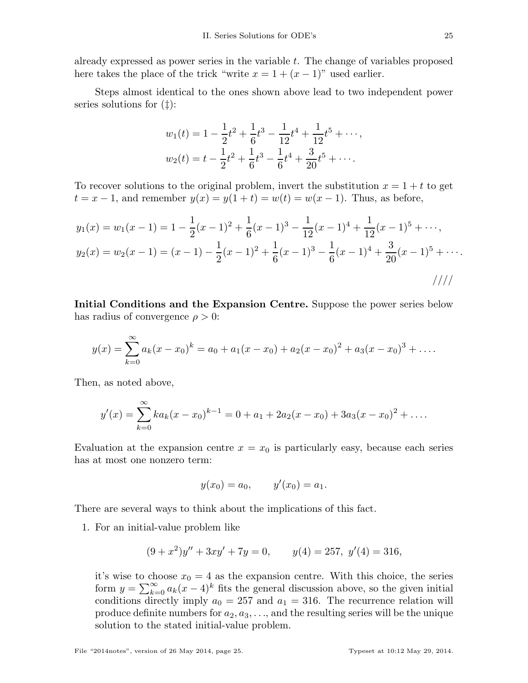already expressed as power series in the variable  $t$ . The change of variables proposed here takes the place of the trick "write  $x = 1 + (x - 1)$ " used earlier.

Steps almost identical to the ones shown above lead to two independent power series solutions for (‡):

$$
w_1(t) = 1 - \frac{1}{2}t^2 + \frac{1}{6}t^3 - \frac{1}{12}t^4 + \frac{1}{12}t^5 + \cdots,
$$
  

$$
w_2(t) = t - \frac{1}{2}t^2 + \frac{1}{6}t^3 - \frac{1}{6}t^4 + \frac{3}{20}t^5 + \cdots.
$$

To recover solutions to the original problem, invert the substitution  $x = 1 + t$  to get  $t = x - 1$ , and remember  $y(x) = y(1 + t) = w(t) = w(x - 1)$ . Thus, as before,

$$
y_1(x) = w_1(x-1) = 1 - \frac{1}{2}(x-1)^2 + \frac{1}{6}(x-1)^3 - \frac{1}{12}(x-1)^4 + \frac{1}{12}(x-1)^5 + \cdots,
$$
  
\n
$$
y_2(x) = w_2(x-1) = (x-1) - \frac{1}{2}(x-1)^2 + \frac{1}{6}(x-1)^3 - \frac{1}{6}(x-1)^4 + \frac{3}{20}(x-1)^5 + \cdots.
$$

Initial Conditions and the Expansion Centre. Suppose the power series below has radius of convergence  $\rho > 0$ :

$$
y(x) = \sum_{k=0}^{\infty} a_k (x - x_0)^k = a_0 + a_1 (x - x_0) + a_2 (x - x_0)^2 + a_3 (x - x_0)^3 + \dots
$$

Then, as noted above,

$$
y'(x) = \sum_{k=0}^{\infty} ka_k(x - x_0)^{k-1} = 0 + a_1 + 2a_2(x - x_0) + 3a_3(x - x_0)^2 + \dots
$$

Evaluation at the expansion centre  $x = x_0$  is particularly easy, because each series has at most one nonzero term:

$$
y(x_0) = a_0,
$$
  $y'(x_0) = a_1.$ 

There are several ways to think about the implications of this fact.

1. For an initial-value problem like

$$
(9+x^2)y'' + 3xy' + 7y = 0, \t y(4) = 257, y'(4) = 316,
$$

it's wise to choose  $x_0 = 4$  as the expansion centre. With this choice, the series form  $y = \sum_{k=0}^{\infty} a_k(x-4)^k$  fits the general discussion above, so the given initial conditions directly imply  $a_0 = 257$  and  $a_1 = 316$ . The recurrence relation will produce definite numbers for  $a_2, a_3, \ldots$ , and the resulting series will be the unique solution to the stated initial-value problem.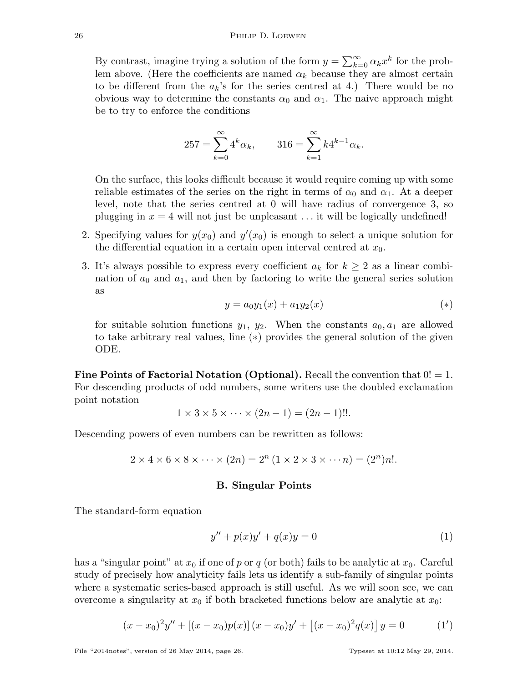By contrast, imagine trying a solution of the form  $y = \sum_{k=0}^{\infty} \alpha_k x^k$  for the problem above. (Here the coefficients are named  $\alpha_k$  because they are almost certain to be different from the  $a_k$ 's for the series centred at 4.) There would be no obvious way to determine the constants  $\alpha_0$  and  $\alpha_1$ . The naive approach might be to try to enforce the conditions

$$
257 = \sum_{k=0}^{\infty} 4^k \alpha_k, \qquad 316 = \sum_{k=1}^{\infty} k 4^{k-1} \alpha_k.
$$

On the surface, this looks difficult because it would require coming up with some reliable estimates of the series on the right in terms of  $\alpha_0$  and  $\alpha_1$ . At a deeper level, note that the series centred at 0 will have radius of convergence 3, so plugging in  $x = 4$  will not just be unpleasant ... it will be logically undefined!

- 2. Specifying values for  $y(x_0)$  and  $y'(x_0)$  is enough to select a unique solution for the differential equation in a certain open interval centred at  $x_0$ .
- 3. It's always possible to express every coefficient  $a_k$  for  $k \geq 2$  as a linear combination of  $a_0$  and  $a_1$ , and then by factoring to write the general series solution as

$$
y = a_0 y_1(x) + a_1 y_2(x) \tag{*}
$$

for suitable solution functions  $y_1, y_2$ . When the constants  $a_0, a_1$  are allowed to take arbitrary real values, line (∗) provides the general solution of the given ODE.

**Fine Points of Factorial Notation (Optional).** Recall the convention that  $0! = 1$ . For descending products of odd numbers, some writers use the doubled exclamation point notation

$$
1 \times 3 \times 5 \times \cdots \times (2n-1) = (2n-1)!!.
$$

Descending powers of even numbers can be rewritten as follows:

$$
2 \times 4 \times 6 \times 8 \times \cdots \times (2n) = 2^{n} (1 \times 2 \times 3 \times \cdots n) = (2^{n})n!.
$$

# B. Singular Points

The standard-form equation

$$
y'' + p(x)y' + q(x)y = 0
$$
 (1)

has a "singular point" at  $x_0$  if one of p or q (or both) fails to be analytic at  $x_0$ . Careful study of precisely how analyticity fails lets us identify a sub-family of singular points where a systematic series-based approach is still useful. As we will soon see, we can overcome a singularity at  $x_0$  if both bracketed functions below are analytic at  $x_0$ :

$$
(x-x_0)^2y'' + [(x-x_0)p(x)] (x-x_0)y' + [(x-x_0)^2q(x)] y = 0 \qquad (1')
$$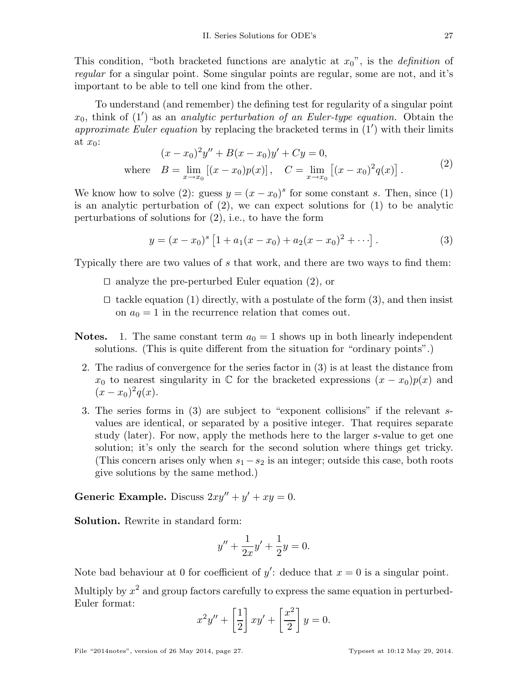This condition, "both bracketed functions are analytic at  $x_0$ ", is the *definition* of regular for a singular point. Some singular points are regular, some are not, and it's important to be able to tell one kind from the other.

To understand (and remember) the defining test for regularity of a singular point  $x_0$ , think of (1') as an *analytic perturbation of an Euler-type equation*. Obtain the approximate Euler equation by replacing the bracketed terms in  $(1')$  with their limits at  $x_0$ :

$$
(x - x_0)^2 y'' + B(x - x_0)y' + Cy = 0,
$$
  
where  $B = \lim_{x \to x_0} [(x - x_0)p(x)], \quad C = \lim_{x \to x_0} [(x - x_0)^2 q(x)].$  (2)

We know how to solve (2): guess  $y = (x - x_0)^s$  for some constant s. Then, since (1) is an analytic perturbation of (2), we can expect solutions for (1) to be analytic perturbations of solutions for (2), i.e., to have the form

$$
y = (x - x_0)^s \left[ 1 + a_1(x - x_0) + a_2(x - x_0)^2 + \cdots \right].
$$
 (3)

Typically there are two values of s that work, and there are two ways to find them:

- ⊓⊔ analyze the pre-perturbed Euler equation (2), or
- ⊓⊔ tackle equation (1) directly, with a postulate of the form (3), and then insist on  $a_0 = 1$  in the recurrence relation that comes out.
- **Notes.** 1. The same constant term  $a_0 = 1$  shows up in both linearly independent solutions. (This is quite different from the situation for "ordinary points".)
	- 2. The radius of convergence for the series factor in (3) is at least the distance from  $x_0$  to nearest singularity in  $\mathbb C$  for the bracketed expressions  $(x - x_0)p(x)$  and  $(x-x_0)^2q(x).$
	- 3. The series forms in (3) are subject to "exponent collisions" if the relevant svalues are identical, or separated by a positive integer. That requires separate study (later). For now, apply the methods here to the larger s-value to get one solution; it's only the search for the second solution where things get tricky. (This concern arises only when  $s_1 - s_2$  is an integer; outside this case, both roots give solutions by the same method.)

Generic Example. Discuss  $2xy'' + y' + xy = 0$ .

Solution. Rewrite in standard form:

$$
y'' + \frac{1}{2x}y' + \frac{1}{2}y = 0.
$$

Note bad behaviour at 0 for coefficient of  $y'$ : deduce that  $x = 0$  is a singular point.

Multiply by  $x^2$  and group factors carefully to express the same equation in perturbed-Euler format:

$$
x^{2}y'' + \left[\frac{1}{2}\right]xy' + \left[\frac{x^{2}}{2}\right]y = 0.
$$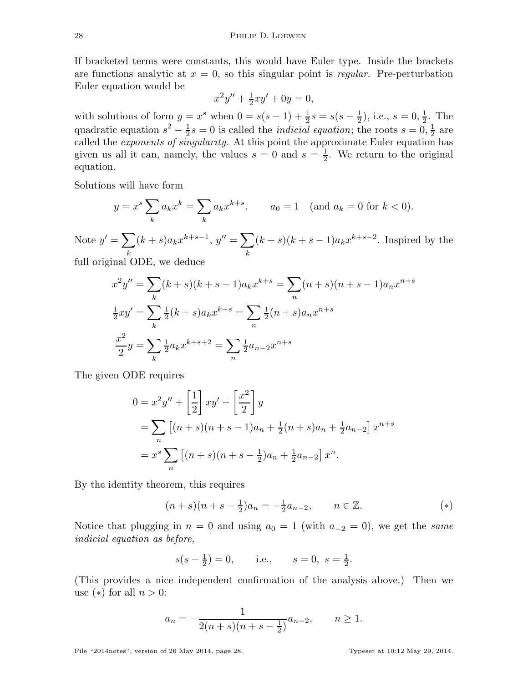If bracketed terms were constants, this would have Euler type. Inside the brackets are functions analytic at  $x = 0$ , so this singular point is regular. Pre-perturbation Euler equation would be

$$
x^2y'' + \frac{1}{2}xy' + 0y = 0,
$$

with solutions of form  $y = x^s$  when  $0 = s(s-1) + \frac{1}{2}s = s(s-\frac{1}{2})$  $(\frac{1}{2})$ , i.e.,  $s = 0, \frac{1}{2}$  $\frac{1}{2}$ . The quadratic equation  $s^2 - \frac{1}{2}$  $\frac{1}{2}s = 0$  is called the *indicial equation*; the roots  $s = 0, \frac{1}{2}$  $rac{1}{2}$  are called the exponents of singularity. At this point the approximate Euler equation has given us all it can, namely, the values  $s = 0$  and  $s = \frac{1}{2}$  $\frac{1}{2}$ . We return to the original equation.

Solutions will have form

$$
y = x^s \sum_k a_k x^k = \sum_k a_k x^{k+s}
$$
,  $a_0 = 1$  (and  $a_k = 0$  for  $k < 0$ ).

Note  $y' = \sum$ k  $(k+s)a_kx^{k+s-1}, y'' = \sum$ k  $(k+s)(k+s-1)a_kx^{k+s-2}$ . Inspired by the

full original ODE, we deduce

$$
x^{2}y'' = \sum_{k} (k+s)(k+s-1)a_{k}x^{k+s} = \sum_{n} (n+s)(n+s-1)a_{n}x^{n+s}
$$
  

$$
\frac{1}{2}xy' = \sum_{k} \frac{1}{2}(k+s)a_{k}x^{k+s} = \sum_{n} \frac{1}{2}(n+s)a_{n}x^{n+s}
$$
  

$$
\frac{x^{2}}{2}y = \sum_{k} \frac{1}{2}a_{k}x^{k+s+2} = \sum_{n} \frac{1}{2}a_{n-2}x^{n+s}
$$

The given ODE requires

$$
0 = x^{2}y'' + \left[\frac{1}{2}\right]xy' + \left[\frac{x^{2}}{2}\right]y
$$
  
=  $\sum_{n} \left[ (n+s)(n+s-1)a_{n} + \frac{1}{2}(n+s)a_{n} + \frac{1}{2}a_{n-2} \right]x^{n+s}$   
=  $x^{s} \sum_{n} \left[ (n+s)(n+s-\frac{1}{2})a_{n} + \frac{1}{2}a_{n-2} \right]x^{n}.$ 

By the identity theorem, this requires

$$
(n+s)(n+s-\frac{1}{2})a_n = -\frac{1}{2}a_{n-2}, \qquad n \in \mathbb{Z}.
$$
 (\*)

Notice that plugging in  $n = 0$  and using  $a_0 = 1$  (with  $a_{-2} = 0$ ), we get the same indicial equation as before,

$$
s(s - \frac{1}{2}) = 0
$$
, i.e.,  $s = 0$ ,  $s = \frac{1}{2}$ .

(This provides a nice independent confirmation of the analysis above.) Then we use  $(*)$  for all  $n > 0$ :

$$
a_n = -\frac{1}{2(n+s)(n+s-\frac{1}{2})}a_{n-2}, \qquad n \ge 1.
$$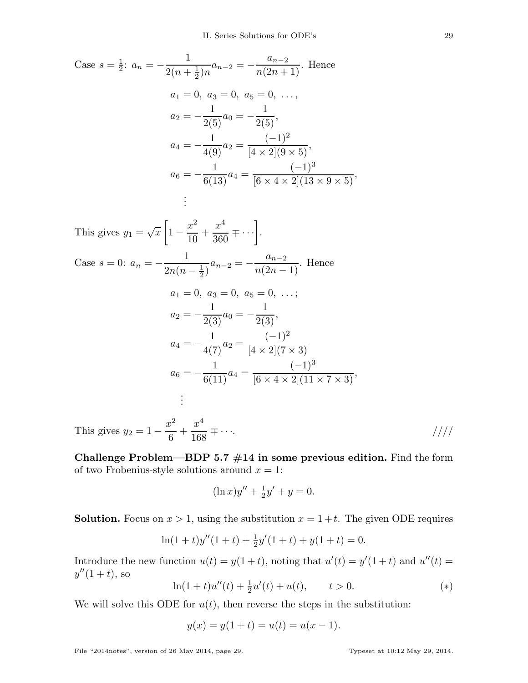Case 
$$
s = \frac{1}{2}
$$
:  $a_n = -\frac{1}{2(n + \frac{1}{2})n} a_{n-2} = -\frac{a_{n-2}}{n(2n + 1)}$ . Hence  
\n $a_1 = 0, a_3 = 0, a_5 = 0, \ldots,$   
\n $a_2 = -\frac{1}{2(5)} a_0 = -\frac{1}{2(5)},$   
\n $a_4 = -\frac{1}{4(9)} a_2 = \frac{(-1)^2}{[4 \times 2](9 \times 5)},$   
\n $a_6 = -\frac{1}{6(13)} a_4 = \frac{(-1)^3}{[6 \times 4 \times 2](13 \times 9 \times 5)},$   
\n...

This gives  $y_1 = \sqrt{x}$  $\sqrt{ }$ 1 −  $x^2$ 10  $+$  $x^4$  $\frac{x^4}{360} \mp \cdots \bigg].$ Case  $s = 0: a_n = -$ 1  $2n(n-\frac{1}{2})$  $\frac{1}{2}$  $\frac{1}{2}$  $a_{n-2} =$  $a_{n-2}$  $\frac{a_n-2}{n(2n-1)}$ . Hence  $a_1 = 0, a_3 = 0, a_5 = 0, \ldots;$  $a_2 = -$ 1  $\frac{1}{2(3)}a_0 = -$ 1  $\frac{1}{2(3)}$ ,  $a_4 = -$ 1  $\frac{1}{4(7)}a_2 =$  $(-1)^2$  $[4 \times 2](7 \times 3)$  $a_6 = -$ 1  $\frac{1}{6(11)}a_4 =$  $(-1)^3$  $\frac{1}{[6 \times 4 \times 2](11 \times 7 \times 3)}$ , . . .

This gives  $y_2 = 1$  $x^2$ 6  $+$  $x^4$  $\frac{1}{168}$   $\mp$   $\cdots$  /////

Challenge Problem—BDP 5.7  $\#14$  in some previous edition. Find the form of two Frobenius-style solutions around  $x = 1$ :

$$
(\ln x)y'' + \frac{1}{2}y' + y = 0.
$$

**Solution.** Focus on  $x > 1$ , using the substitution  $x = 1 + t$ . The given ODE requires

$$
\ln(1+t)y''(1+t) + \frac{1}{2}y'(1+t) + y(1+t) = 0.
$$

Introduce the new function  $u(t) = y(1+t)$ , noting that  $u'(t) = y'(1+t)$  and  $u''(t) =$  $y''(1 + t)$ , so

$$
\ln(1+t)u''(t) + \frac{1}{2}u'(t) + u(t), \qquad t > 0.
$$
\n(\*)

We will solve this ODE for  $u(t)$ , then reverse the steps in the substitution:

$$
y(x) = y(1+t) = u(t) = u(x-1).
$$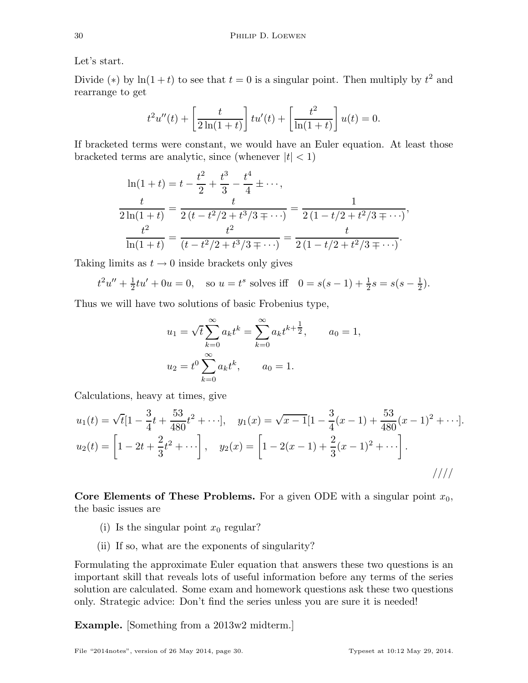Let's start.

Divide (\*) by  $\ln(1+t)$  to see that  $t=0$  is a singular point. Then multiply by  $t^2$  and rearrange to get

$$
t^{2}u''(t) + \left[\frac{t}{2\ln(1+t)}\right]tu'(t) + \left[\frac{t^{2}}{\ln(1+t)}\right]u(t) = 0.
$$

If bracketed terms were constant, we would have an Euler equation. At least those bracketed terms are analytic, since (whenever  $|t| < 1$ )

$$
\ln(1+t) = t - \frac{t^2}{2} + \frac{t^3}{3} - \frac{t^4}{4} \pm \cdots,
$$
  

$$
\frac{t}{2\ln(1+t)} = \frac{t}{2(t - t^2/2 + t^3/3 \pm \cdots)} = \frac{1}{2(1 - t/2 + t^2/3 \pm \cdots)},
$$
  

$$
\frac{t^2}{\ln(1+t)} = \frac{t^2}{(t - t^2/2 + t^3/3 \pm \cdots)} = \frac{t}{2(1 - t/2 + t^2/3 \pm \cdots)}.
$$

Taking limits as  $t \to 0$  inside brackets only gives

$$
t^2u'' + \frac{1}{2}tu' + 0u = 0
$$
, so  $u = t^s$  solves iff  $0 = s(s-1) + \frac{1}{2}s = s(s-\frac{1}{2})$ .

Thus we will have two solutions of basic Frobenius type,

$$
u_1 = \sqrt{t} \sum_{k=0}^{\infty} a_k t^k = \sum_{k=0}^{\infty} a_k t^{k + \frac{1}{2}}, \qquad a_0 = 1,
$$
  

$$
u_2 = t^0 \sum_{k=0}^{\infty} a_k t^k, \qquad a_0 = 1.
$$

Calculations, heavy at times, give

$$
u_1(t) = \sqrt{t}\left[1 - \frac{3}{4}t + \frac{53}{480}t^2 + \cdots\right], \quad y_1(x) = \sqrt{x-1}\left[1 - \frac{3}{4}(x-1) + \frac{53}{480}(x-1)^2 + \cdots\right].
$$
  

$$
u_2(t) = \left[1 - 2t + \frac{2}{3}t^2 + \cdots\right], \quad y_2(x) = \left[1 - 2(x-1) + \frac{2}{3}(x-1)^2 + \cdots\right].
$$

Core Elements of These Problems. For a given ODE with a singular point  $x_0$ , the basic issues are

- (i) Is the singular point  $x_0$  regular?
- (ii) If so, what are the exponents of singularity?

Formulating the approximate Euler equation that answers these two questions is an important skill that reveals lots of useful information before any terms of the series solution are calculated. Some exam and homework questions ask these two questions only. Strategic advice: Don't find the series unless you are sure it is needed!

Example. [Something from a 2013w2 midterm.]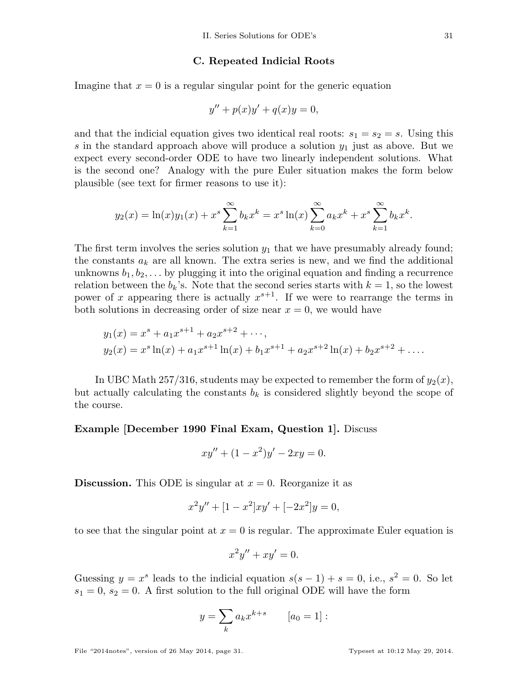### C. Repeated Indicial Roots

Imagine that  $x = 0$  is a regular singular point for the generic equation

$$
y'' + p(x)y' + q(x)y = 0,
$$

and that the indicial equation gives two identical real roots:  $s_1 = s_2 = s$ . Using this s in the standard approach above will produce a solution  $y_1$  just as above. But we expect every second-order ODE to have two linearly independent solutions. What is the second one? Analogy with the pure Euler situation makes the form below plausible (see text for firmer reasons to use it):

$$
y_2(x) = \ln(x)y_1(x) + x^s \sum_{k=1}^{\infty} b_k x^k = x^s \ln(x) \sum_{k=0}^{\infty} a_k x^k + x^s \sum_{k=1}^{\infty} b_k x^k.
$$

The first term involves the series solution  $y_1$  that we have presumably already found; the constants  $a_k$  are all known. The extra series is new, and we find the additional unknowns  $b_1, b_2, \ldots$  by plugging it into the original equation and finding a recurrence relation between the  $b_k$ 's. Note that the second series starts with  $k = 1$ , so the lowest power of x appearing there is actually  $x^{s+1}$ . If we were to rearrange the terms in both solutions in decreasing order of size near  $x = 0$ , we would have

$$
y_1(x) = x^s + a_1 x^{s+1} + a_2 x^{s+2} + \cdots,
$$
  
\n
$$
y_2(x) = x^s \ln(x) + a_1 x^{s+1} \ln(x) + b_1 x^{s+1} + a_2 x^{s+2} \ln(x) + b_2 x^{s+2} + \cdots.
$$

In UBC Math 257/316, students may be expected to remember the form of  $y_2(x)$ , but actually calculating the constants  $b_k$  is considered slightly beyond the scope of the course.

#### Example [December 1990 Final Exam, Question 1]. Discuss

$$
xy'' + (1 - x^2)y' - 2xy = 0.
$$

**Discussion.** This ODE is singular at  $x = 0$ . Reorganize it as

$$
x^{2}y'' + [1 - x^{2}]xy' + [-2x^{2}]y = 0,
$$

to see that the singular point at  $x = 0$  is regular. The approximate Euler equation is

$$
x^2y'' + xy' = 0.
$$

Guessing  $y = x^s$  leads to the indicial equation  $s(s-1) + s = 0$ , i.e.,  $s^2 = 0$ . So let  $s_1 = 0$ ,  $s_2 = 0$ . A first solution to the full original ODE will have the form

$$
y = \sum_{k} a_k x^{k+s} \qquad [a_0 = 1]:
$$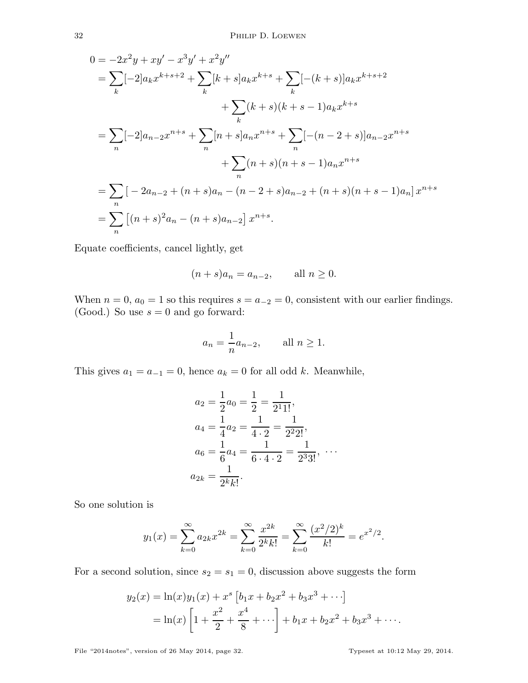$$
0 = -2x^2y + xy' - x^3y' + x^2y''
$$
  
\n
$$
= \sum_{k} [-2]a_k x^{k+s+2} + \sum_{k} [k+s]a_k x^{k+s} + \sum_{k} [-(k+s)]a_k x^{k+s+2}
$$
  
\n
$$
+ \sum_{k} (k+s)(k+s-1)a_k x^{k+s}
$$
  
\n
$$
= \sum_{n} [-2]a_{n-2}x^{n+s} + \sum_{n} [n+s]a_n x^{n+s} + \sum_{n} [-(n-2+s)]a_{n-2}x^{n+s}
$$
  
\n
$$
+ \sum_{n} (n+s)(n+s-1)a_n x^{n+s}
$$
  
\n
$$
= \sum_{n} [-2a_{n-2} + (n+s)a_n - (n-2+s)a_{n-2} + (n+s)(n+s-1)a_n]x^{n+s}
$$
  
\n
$$
= \sum_{n} [(n+s)^2 a_n - (n+s)a_{n-2}]x^{n+s}.
$$

Equate coefficients, cancel lightly, get

$$
(n+s)a_n = a_{n-2}, \qquad \text{all } n \ge 0.
$$

When  $n = 0$ ,  $a_0 = 1$  so this requires  $s = a_{-2} = 0$ , consistent with our earlier findings. (Good.) So use  $s = 0$  and go forward:

$$
a_n = \frac{1}{n} a_{n-2}, \qquad \text{all } n \ge 1.
$$

This gives  $a_1 = a_{-1} = 0$ , hence  $a_k = 0$  for all odd k. Meanwhile,

$$
a_2 = \frac{1}{2}a_0 = \frac{1}{2} = \frac{1}{2^1 1!},
$$
  
\n
$$
a_4 = \frac{1}{4}a_2 = \frac{1}{4 \cdot 2} = \frac{1}{2^2 2!},
$$
  
\n
$$
a_6 = \frac{1}{6}a_4 = \frac{1}{6 \cdot 4 \cdot 2} = \frac{1}{2^3 3!}, \cdots
$$
  
\n
$$
a_{2k} = \frac{1}{2^k k!}.
$$

So one solution is

$$
y_1(x) = \sum_{k=0}^{\infty} a_{2k} x^{2k} = \sum_{k=0}^{\infty} \frac{x^{2k}}{2^k k!} = \sum_{k=0}^{\infty} \frac{(x^2/2)^k}{k!} = e^{x^2/2}.
$$

For a second solution, since  $s_2 = s_1 = 0$ , discussion above suggests the form

$$
y_2(x) = \ln(x)y_1(x) + x^s \left[ b_1 x + b_2 x^2 + b_3 x^3 + \cdots \right]
$$
  
=  $\ln(x) \left[ 1 + \frac{x^2}{2} + \frac{x^4}{8} + \cdots \right] + b_1 x + b_2 x^2 + b_3 x^3 + \cdots$ 

File "2014notes", version of 26 May 2014, page 32. Typeset at 10:12 May 29, 2014.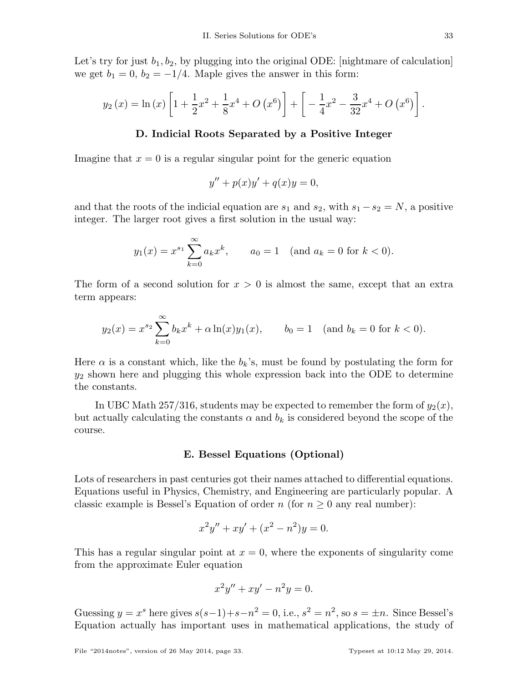Let's try for just  $b_1, b_2$ , by plugging into the original ODE: [nightmare of calculation] we get  $b_1 = 0$ ,  $b_2 = -1/4$ . Maple gives the answer in this form:

$$
y_2(x) = \ln(x) \left[ 1 + \frac{1}{2}x^2 + \frac{1}{8}x^4 + O(x^6) \right] + \left[ -\frac{1}{4}x^2 - \frac{3}{32}x^4 + O(x^6) \right].
$$

## D. Indicial Roots Separated by a Positive Integer

Imagine that  $x = 0$  is a regular singular point for the generic equation

$$
y'' + p(x)y' + q(x)y = 0,
$$

and that the roots of the indicial equation are  $s_1$  and  $s_2$ , with  $s_1 - s_2 = N$ , a positive integer. The larger root gives a first solution in the usual way:

$$
y_1(x) = x^{s_1} \sum_{k=0}^{\infty} a_k x^k
$$
,  $a_0 = 1$  (and  $a_k = 0$  for  $k < 0$ ).

The form of a second solution for  $x > 0$  is almost the same, except that an extra term appears:

$$
y_2(x) = x^{s_2} \sum_{k=0}^{\infty} b_k x^k + \alpha \ln(x) y_1(x)
$$
,  $b_0 = 1$  (and  $b_k = 0$  for  $k < 0$ ).

Here  $\alpha$  is a constant which, like the  $b_k$ 's, must be found by postulating the form for  $y_2$  shown here and plugging this whole expression back into the ODE to determine the constants.

In UBC Math 257/316, students may be expected to remember the form of  $y_2(x)$ , but actually calculating the constants  $\alpha$  and  $b_k$  is considered beyond the scope of the course.

### E. Bessel Equations (Optional)

Lots of researchers in past centuries got their names attached to differential equations. Equations useful in Physics, Chemistry, and Engineering are particularly popular. A classic example is Bessel's Equation of order  $n$  (for  $n \geq 0$  any real number):

$$
x^{2}y'' + xy' + (x^{2} - n^{2})y = 0.
$$

This has a regular singular point at  $x = 0$ , where the exponents of singularity come from the approximate Euler equation

$$
x^2y'' + xy' - n^2y = 0.
$$

Guessing  $y = x^s$  here gives  $s(s-1)+s-n^2 = 0$ , i.e.,  $s^2 = n^2$ , so  $s = \pm n$ . Since Bessel's Equation actually has important uses in mathematical applications, the study of